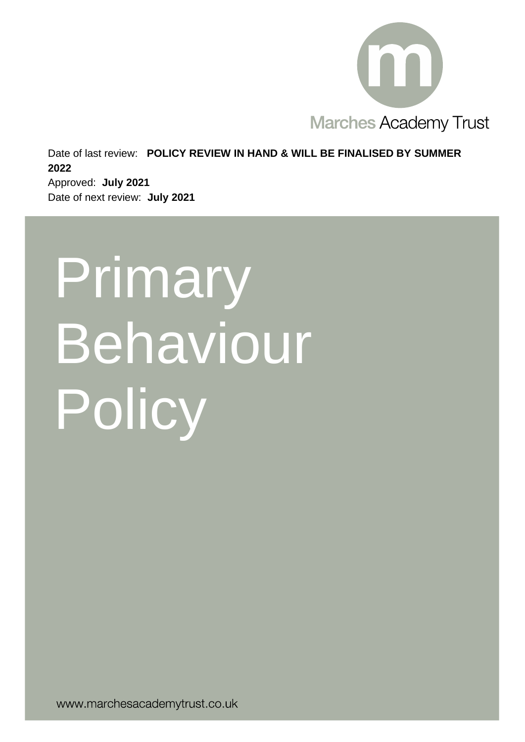

Date of last review: **POLICY REVIEW IN HAND & WILL BE FINALISED BY SUMMER 2022**

Approved: **July 2021** Date of next review: **July 2021**

# Primary Behaviour Policy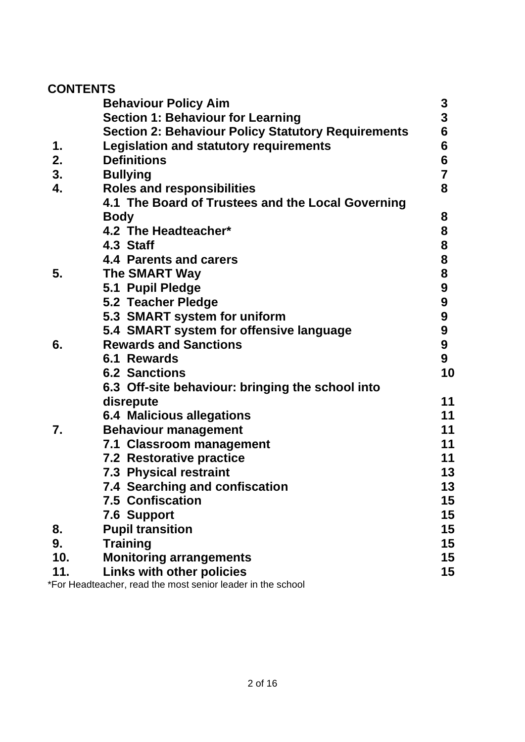# **CONTENTS**

|     | <b>Behaviour Policy Aim</b>                                 | 3                |
|-----|-------------------------------------------------------------|------------------|
|     | <b>Section 1: Behaviour for Learning</b>                    | $\mathbf{3}$     |
|     | <b>Section 2: Behaviour Policy Statutory Requirements</b>   | 6                |
| 1.  | <b>Legislation and statutory requirements</b>               | 6                |
| 2.  | <b>Definitions</b>                                          | 6                |
| 3.  | <b>Bullying</b>                                             | $\overline{7}$   |
| 4.  | <b>Roles and responsibilities</b>                           | 8                |
|     | 4.1 The Board of Trustees and the Local Governing           |                  |
|     | <b>Body</b>                                                 | 8                |
|     | 4.2 The Headteacher*                                        | 8                |
|     | 4.3 Staff                                                   | 8                |
|     | 4.4 Parents and carers                                      | 8                |
| 5.  | The SMART Way                                               | 8                |
|     | 5.1 Pupil Pledge                                            | $\boldsymbol{9}$ |
|     | <b>5.2 Teacher Pledge</b>                                   | $\boldsymbol{9}$ |
|     | 5.3 SMART system for uniform                                | $\boldsymbol{9}$ |
|     | 5.4 SMART system for offensive language                     | 9                |
| 6.  | <b>Rewards and Sanctions</b>                                | 9                |
|     | <b>6.1 Rewards</b>                                          | $9\phantom{.}$   |
|     | <b>6.2 Sanctions</b>                                        | 10               |
|     | 6.3 Off-site behaviour: bringing the school into            |                  |
|     | disrepute                                                   | 11               |
|     | <b>6.4 Malicious allegations</b>                            | 11               |
| 7.  | <b>Behaviour management</b>                                 | 11               |
|     | 7.1 Classroom management                                    | 11               |
|     | <b>7.2 Restorative practice</b>                             | 11               |
|     | <b>7.3 Physical restraint</b>                               | 13               |
|     | <b>7.4 Searching and confiscation</b>                       | 13               |
|     | <b>7.5 Confiscation</b>                                     | 15               |
|     | <b>7.6 Support</b>                                          | 15               |
| 8.  | <b>Pupil transition</b>                                     | 15               |
| 9.  | <b>Training</b>                                             | 15               |
| 10. | <b>Monitoring arrangements</b>                              | 15               |
| 11. | <b>Links with other policies</b>                            | 15               |
|     | *For Headteacher, read the most senior leader in the school |                  |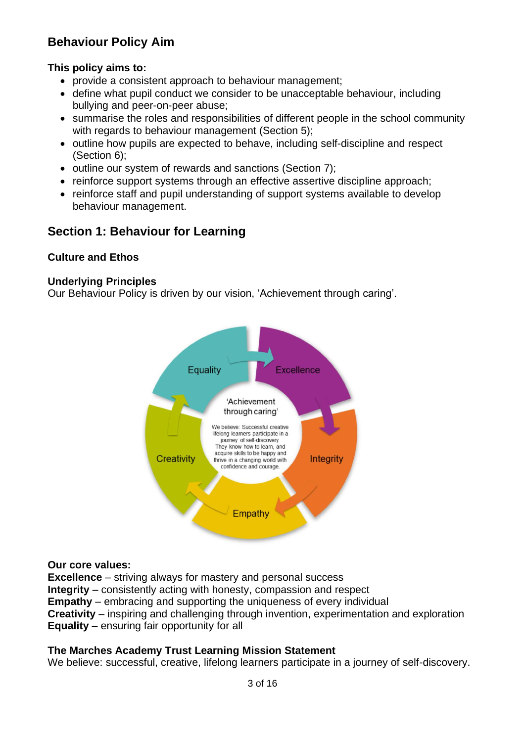# **Behaviour Policy Aim**

## **This policy aims to:**

- provide a consistent approach to behaviour management;
- define what pupil conduct we consider to be unacceptable behaviour, including bullying and peer-on-peer abuse;
- summarise the roles and responsibilities of different people in the school community with regards to behaviour management (Section 5);
- outline how pupils are expected to behave, including self-discipline and respect (Section 6);
- outline our system of rewards and sanctions (Section 7);
- reinforce support systems through an effective assertive discipline approach;
- reinforce staff and pupil understanding of support systems available to develop behaviour management.

# **Section 1: Behaviour for Learning**

## **Culture and Ethos**

#### **Underlying Principles**

Our Behaviour Policy is driven by our vision, 'Achievement through caring'.



#### **Our core values:**

**Excellence** – striving always for mastery and personal success **Integrity** – consistently acting with honesty, compassion and respect **Empathy** – embracing and supporting the uniqueness of every individual **Creativity** – inspiring and challenging through invention, experimentation and exploration **Equality** – ensuring fair opportunity for all

## **The Marches Academy Trust Learning Mission Statement**

We believe: successful, creative, lifelong learners participate in a journey of self-discovery.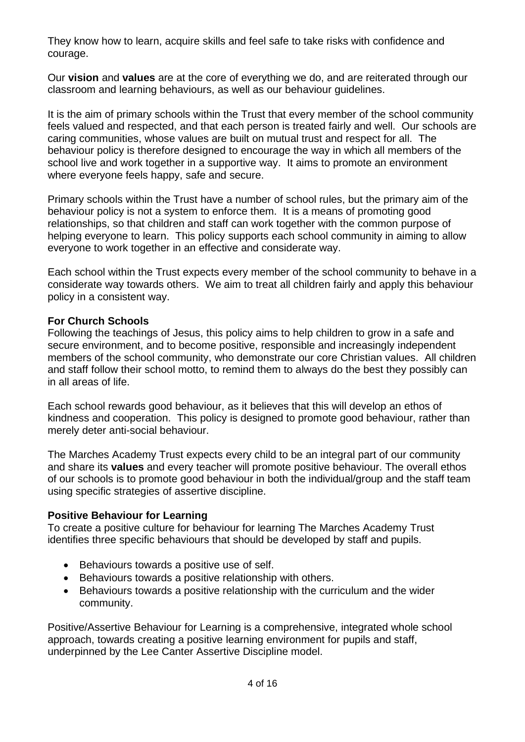They know how to learn, acquire skills and feel safe to take risks with confidence and courage.

Our **vision** and **values** are at the core of everything we do, and are reiterated through our classroom and learning behaviours, as well as our behaviour guidelines.

It is the aim of primary schools within the Trust that every member of the school community feels valued and respected, and that each person is treated fairly and well. Our schools are caring communities, whose values are built on mutual trust and respect for all. The behaviour policy is therefore designed to encourage the way in which all members of the school live and work together in a supportive way. It aims to promote an environment where everyone feels happy, safe and secure.

Primary schools within the Trust have a number of school rules, but the primary aim of the behaviour policy is not a system to enforce them. It is a means of promoting good relationships, so that children and staff can work together with the common purpose of helping everyone to learn. This policy supports each school community in aiming to allow everyone to work together in an effective and considerate way.

Each school within the Trust expects every member of the school community to behave in a considerate way towards others. We aim to treat all children fairly and apply this behaviour policy in a consistent way.

#### **For Church Schools**

Following the teachings of Jesus, this policy aims to help children to grow in a safe and secure environment, and to become positive, responsible and increasingly independent members of the school community, who demonstrate our core Christian values. All children and staff follow their school motto, to remind them to always do the best they possibly can in all areas of life.

Each school rewards good behaviour, as it believes that this will develop an ethos of kindness and cooperation. This policy is designed to promote good behaviour, rather than merely deter anti-social behaviour.

The Marches Academy Trust expects every child to be an integral part of our community and share its **values** and every teacher will promote positive behaviour. The overall ethos of our schools is to promote good behaviour in both the individual/group and the staff team using specific strategies of assertive discipline.

#### **Positive Behaviour for Learning**

To create a positive culture for behaviour for learning The Marches Academy Trust identifies three specific behaviours that should be developed by staff and pupils.

- Behaviours towards a positive use of self.
- Behaviours towards a positive relationship with others.
- Behaviours towards a positive relationship with the curriculum and the wider community.

Positive/Assertive Behaviour for Learning is a comprehensive, integrated whole school approach, towards creating a positive learning environment for pupils and staff, underpinned by the Lee Canter Assertive Discipline model.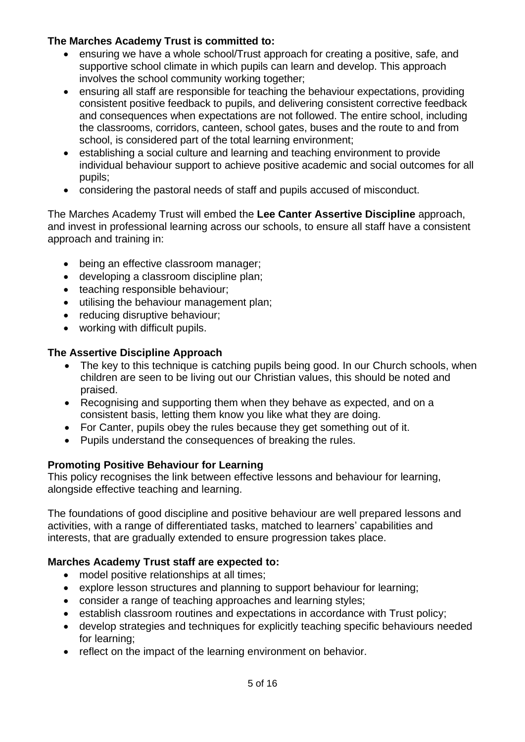## **The Marches Academy Trust is committed to:**

- ensuring we have a whole school/Trust approach for creating a positive, safe, and supportive school climate in which pupils can learn and develop. This approach involves the school community working together;
- ensuring all staff are responsible for teaching the behaviour expectations, providing consistent positive feedback to pupils, and delivering consistent corrective feedback and consequences when expectations are not followed. The entire school, including the classrooms, corridors, canteen, school gates, buses and the route to and from school, is considered part of the total learning environment;
- establishing a social culture and learning and teaching environment to provide individual behaviour support to achieve positive academic and social outcomes for all pupils;
- considering the pastoral needs of staff and pupils accused of misconduct.

The Marches Academy Trust will embed the **Lee Canter Assertive Discipline** approach, and invest in professional learning across our schools, to ensure all staff have a consistent approach and training in:

- being an effective classroom manager;
- developing a classroom discipline plan;
- teaching responsible behaviour;
- utilising the behaviour management plan;
- reducing disruptive behaviour;
- working with difficult pupils.

## **The Assertive Discipline Approach**

- The key to this technique is catching pupils being good. In our Church schools, when children are seen to be living out our Christian values, this should be noted and praised.
- Recognising and supporting them when they behave as expected, and on a consistent basis, letting them know you like what they are doing.
- For Canter, pupils obey the rules because they get something out of it.
- Pupils understand the consequences of breaking the rules.

## **Promoting Positive Behaviour for Learning**

This policy recognises the link between effective lessons and behaviour for learning, alongside effective teaching and learning.

The foundations of good discipline and positive behaviour are well prepared lessons and activities, with a range of differentiated tasks, matched to learners' capabilities and interests, that are gradually extended to ensure progression takes place.

## **Marches Academy Trust staff are expected to:**

- model positive relationships at all times;
- explore lesson structures and planning to support behaviour for learning;
- consider a range of teaching approaches and learning styles;
- establish classroom routines and expectations in accordance with Trust policy;
- develop strategies and techniques for explicitly teaching specific behaviours needed for learning;
- reflect on the impact of the learning environment on behavior.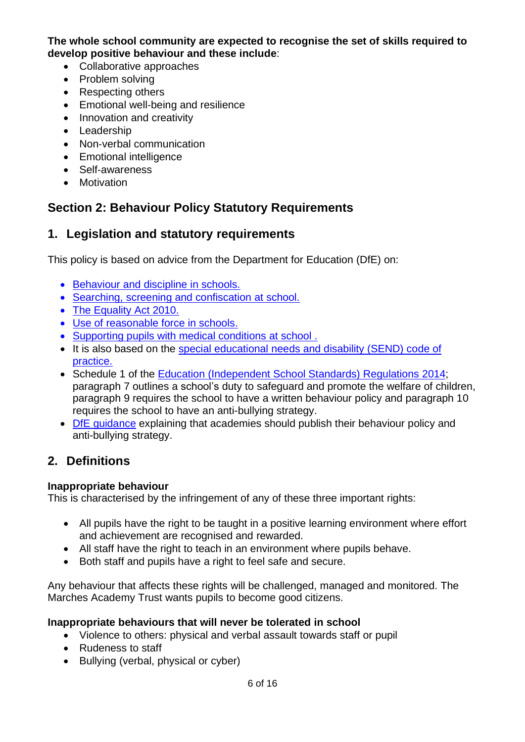**The whole school community are expected to recognise the set of skills required to develop positive behaviour and these include**:

- Collaborative approaches
- Problem solving
- Respecting others
- Emotional well‐being and resilience
- Innovation and creativity
- Leadership
- Non-verbal communication
- Emotional intelligence
- Self‐awareness
- Motivation

# **Section 2: Behaviour Policy Statutory Requirements**

# **1. Legislation and statutory requirements**

This policy is based on advice from the Department for Education (DfE) on:

- [Behaviour](https://www.gov.uk/government/publications/behaviour-and-discipline-in-schools) and discipline in schools.
- Searching, screening and [confiscation](https://www.gov.uk/government/publications/searching-screening-and-confiscation) at school.
- The [Equality](https://www.gov.uk/government/publications/equality-act-2010-advice-for-schools) Act 2010.
- Use of [reasonable](https://www.gov.uk/government/publications/use-of-reasonable-force-in-schools) force in schools.
- [Supporting](https://www.gov.uk/government/publications/supporting-pupils-at-school-with-medical-conditions--3) pupils with medical conditions at school .
- It is also based on the special [educational](https://www.gov.uk/government/publications/send-code-of-practice-0-to-25) needs and disability (SEND) code of [practice.](https://www.gov.uk/government/publications/send-code-of-practice-0-to-25)
- Schedule 1 of the Education [\(Independent](http://www.legislation.gov.uk/uksi/2014/3283/schedule/made) School Standards) Regulations 2014; paragraph 7 outlines a school's duty to safeguard and promote the welfare of children, paragraph 9 requires the school to have a written behaviour policy and paragraph 10 requires the school to have an anti-bullying strategy.
- DfE [guidance](https://www.gov.uk/guidance/what-academies-free-schools-and-colleges-should-publish-online) explaining that academies should publish their behaviour policy and anti-bullying strategy.

# **2. Definitions**

## **Inappropriate behaviour**

This is characterised by the infringement of any of these three important rights:

- All pupils have the right to be taught in a positive learning environment where effort and achievement are recognised and rewarded.
- All staff have the right to teach in an environment where pupils behave.
- Both staff and pupils have a right to feel safe and secure.

Any behaviour that affects these rights will be challenged, managed and monitored. The Marches Academy Trust wants pupils to become good citizens.

## **Inappropriate behaviours that will never be tolerated in school**

- Violence to others: physical and verbal assault towards staff or pupil
- Rudeness to staff
- Bullying (verbal, physical or cyber)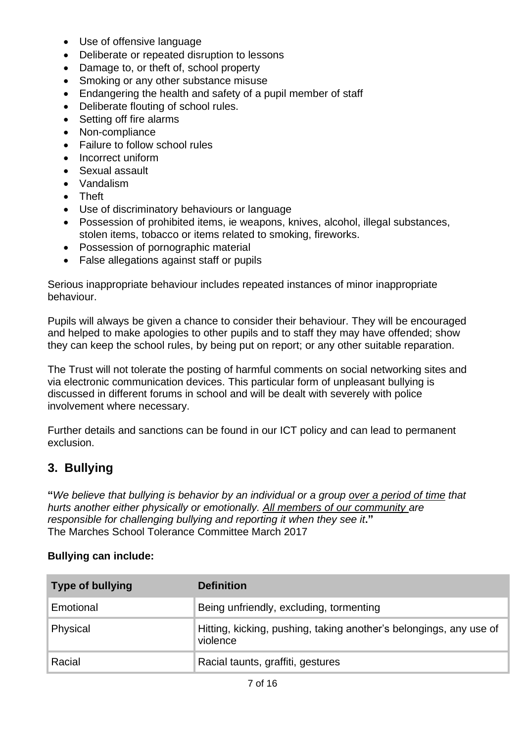- Use of offensive language
- Deliberate or repeated disruption to lessons
- Damage to, or theft of, school property
- Smoking or any other substance misuse
- Endangering the health and safety of a pupil member of staff
- Deliberate flouting of school rules.
- Setting off fire alarms
- Non-compliance
- Failure to follow school rules
- Incorrect uniform
- Sexual assault
- Vandalism
- Theft
- Use of discriminatory behaviours or language
- Possession of prohibited items, ie weapons, knives, alcohol, illegal substances, stolen items, tobacco or items related to smoking, fireworks.
- Possession of pornographic material
- False allegations against staff or pupils

Serious inappropriate behaviour includes repeated instances of minor inappropriate behaviour.

Pupils will always be given a chance to consider their behaviour. They will be encouraged and helped to make apologies to other pupils and to staff they may have offended; show they can keep the school rules, by being put on report; or any other suitable reparation.

The Trust will not tolerate the posting of harmful comments on social networking sites and via electronic communication devices. This particular form of unpleasant bullying is discussed in different forums in school and will be dealt with severely with police involvement where necessary.

Further details and sanctions can be found in our ICT policy and can lead to permanent exclusion.

# **3. Bullying**

"We believe that bullying is behavior by an individual or a group over a period of time that *hurts another either physically or emotionally. All members of our community are responsible for challenging bullying and reporting it when they see it***."** The Marches School Tolerance Committee March 2017

## **Bullying can include:**

| <b>Type of bullying</b> | <b>Definition</b>                                                              |
|-------------------------|--------------------------------------------------------------------------------|
| Emotional               | Being unfriendly, excluding, tormenting                                        |
| Physical                | Hitting, kicking, pushing, taking another's belongings, any use of<br>violence |
| Racial                  | Racial taunts, graffiti, gestures                                              |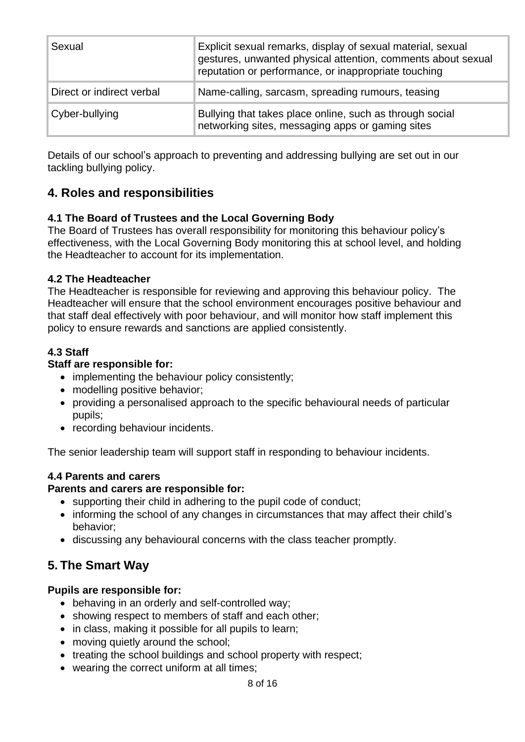| Sexual                    | Explicit sexual remarks, display of sexual material, sexual<br>gestures, unwanted physical attention, comments about sexual<br>reputation or performance, or inappropriate touching |
|---------------------------|-------------------------------------------------------------------------------------------------------------------------------------------------------------------------------------|
| Direct or indirect verbal | Name-calling, sarcasm, spreading rumours, teasing                                                                                                                                   |
| Cyber-bullying            | Bullying that takes place online, such as through social<br>networking sites, messaging apps or gaming sites                                                                        |

Details of our school's approach to preventing and addressing bullying are set out in our tackling bullying policy.

# **4. Roles and responsibilities**

## **4.1 The Board of Trustees and the Local Governing Body**

The Board of Trustees has overall responsibility for monitoring this behaviour policy's effectiveness, with the Local Governing Body monitoring this at school level, and holding the Headteacher to account for its implementation.

## **4.2 The Headteacher**

The Headteacher is responsible for reviewing and approving this behaviour policy. The Headteacher will ensure that the school environment encourages positive behaviour and that staff deal effectively with poor behaviour, and will monitor how staff implement this policy to ensure rewards and sanctions are applied consistently.

## **4.3 Staff**

## **Staff are responsible for:**

- implementing the behaviour policy consistently;
- modelling positive behavior;
- providing a personalised approach to the specific behavioural needs of particular pupils;
- recording behaviour incidents.

The senior leadership team will support staff in responding to behaviour incidents.

## **4.4 Parents and carers**

## **Parents and carers are responsible for:**

- supporting their child in adhering to the pupil code of conduct;
- informing the school of any changes in circumstances that may affect their child's behavior;
- discussing any behavioural concerns with the class teacher promptly.

# **5. The Smart Way**

## **Pupils are responsible for:**

- behaving in an orderly and self-controlled way;
- showing respect to members of staff and each other;
- in class, making it possible for all pupils to learn;
- moving quietly around the school;
- treating the school buildings and school property with respect;
- wearing the correct uniform at all times;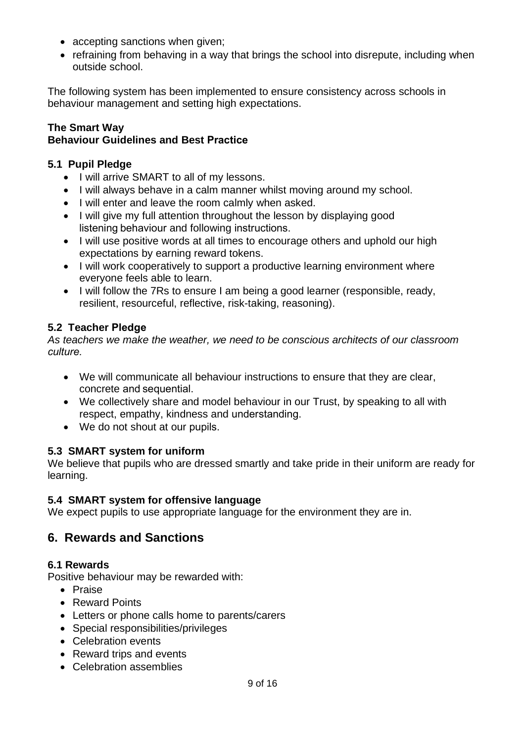- accepting sanctions when given;
- refraining from behaving in a way that brings the school into disrepute, including when outside school.

The following system has been implemented to ensure consistency across schools in behaviour management and setting high expectations.

#### **The Smart Way Behaviour Guidelines and Best Practice**

## **5.1 Pupil Pledge**

- I will arrive SMART to all of my lessons.
- I will always behave in a calm manner whilst moving around my school.
- I will enter and leave the room calmly when asked.
- I will give my full attention throughout the lesson by displaying good listening behaviour and following instructions.
- I will use positive words at all times to encourage others and uphold our high expectations by earning reward tokens.
- I will work cooperatively to support a productive learning environment where everyone feels able to learn.
- I will follow the 7Rs to ensure I am being a good learner (responsible, ready, resilient, resourceful, reflective, risk-taking, reasoning).

## **5.2 Teacher Pledge**

*As teachers we make the weather, we need to be conscious architects of our classroom culture.*

- We will communicate all behaviour instructions to ensure that they are clear, concrete and sequential.
- We collectively share and model behaviour in our Trust, by speaking to all with respect, empathy, kindness and understanding.
- We do not shout at our pupils.

## **5.3 SMART system for uniform**

We believe that pupils who are dressed smartly and take pride in their uniform are ready for learning.

## **5.4 SMART system for offensive language**

We expect pupils to use appropriate language for the environment they are in.

# **6. Rewards and Sanctions**

## **6.1 Rewards**

Positive behaviour may be rewarded with:

- Praise
- Reward Points
- Letters or phone calls home to parents/carers
- Special responsibilities/privileges
- Celebration events
- Reward trips and events
- Celebration assemblies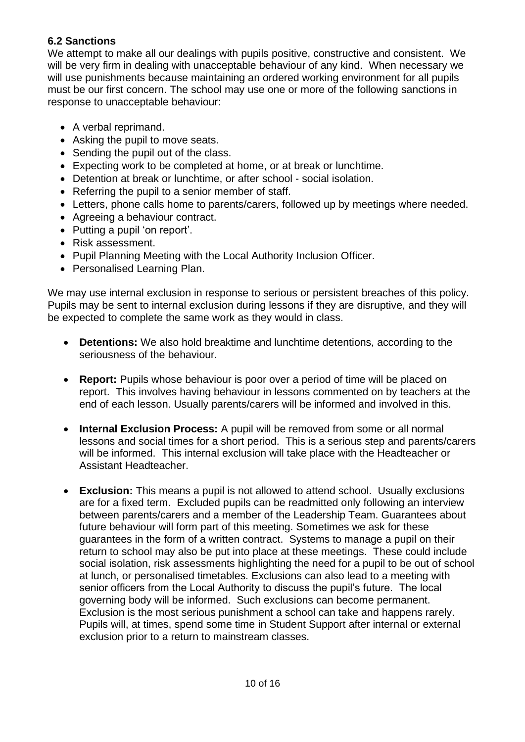## **6.2 Sanctions**

We attempt to make all our dealings with pupils positive, constructive and consistent. We will be very firm in dealing with unacceptable behaviour of any kind. When necessary we will use punishments because maintaining an ordered working environment for all pupils must be our first concern. The school may use one or more of the following sanctions in response to unacceptable behaviour:

- A verbal reprimand.
- Asking the pupil to move seats.
- Sending the pupil out of the class.
- Expecting work to be completed at home, or at break or lunchtime.
- Detention at break or lunchtime, or after school social isolation.
- Referring the pupil to a senior member of staff.
- Letters, phone calls home to parents/carers, followed up by meetings where needed.
- Agreeing a behaviour contract.
- Putting a pupil 'on report'.
- Risk assessment.
- Pupil Planning Meeting with the Local Authority Inclusion Officer.
- Personalised Learning Plan.

We may use internal exclusion in response to serious or persistent breaches of this policy. Pupils may be sent to internal exclusion during lessons if they are disruptive, and they will be expected to complete the same work as they would in class.

- **Detentions:** We also hold breaktime and lunchtime detentions, according to the seriousness of the behaviour.
- **Report:** Pupils whose behaviour is poor over a period of time will be placed on report. This involves having behaviour in lessons commented on by teachers at the end of each lesson. Usually parents/carers will be informed and involved in this.
- **Internal Exclusion Process:** A pupil will be removed from some or all normal lessons and social times for a short period. This is a serious step and parents/carers will be informed. This internal exclusion will take place with the Headteacher or Assistant Headteacher.
- **Exclusion:** This means a pupil is not allowed to attend school. Usually exclusions are for a fixed term. Excluded pupils can be readmitted only following an interview between parents/carers and a member of the Leadership Team. Guarantees about future behaviour will form part of this meeting. Sometimes we ask for these guarantees in the form of a written contract. Systems to manage a pupil on their return to school may also be put into place at these meetings. These could include social isolation, risk assessments highlighting the need for a pupil to be out of school at lunch, or personalised timetables. Exclusions can also lead to a meeting with senior officers from the Local Authority to discuss the pupil's future. The local governing body will be informed. Such exclusions can become permanent. Exclusion is the most serious punishment a school can take and happens rarely. Pupils will, at times, spend some time in Student Support after internal or external exclusion prior to a return to mainstream classes.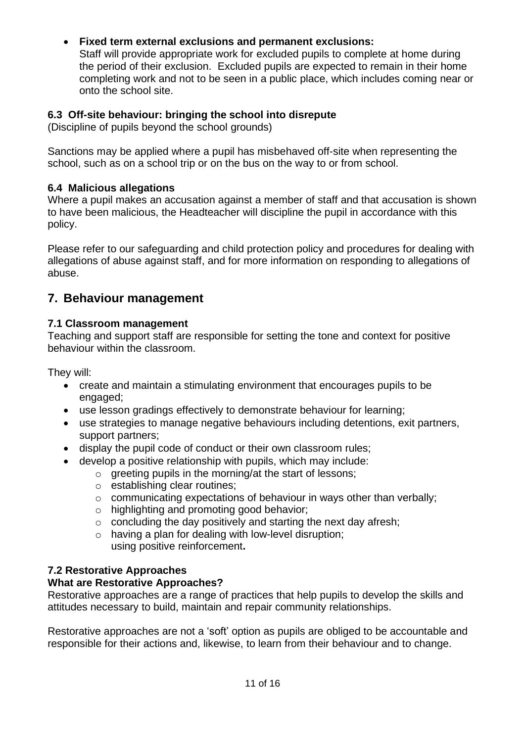## • **Fixed term external exclusions and permanent exclusions:**

Staff will provide appropriate work for excluded pupils to complete at home during the period of their exclusion. Excluded pupils are expected to remain in their home completing work and not to be seen in a public place, which includes coming near or onto the school site.

## **6.3 Off-site behaviour: bringing the school into disrepute**

(Discipline of pupils beyond the school grounds)

Sanctions may be applied where a pupil has misbehaved off-site when representing the school, such as on a school trip or on the bus on the way to or from school.

#### **6.4 Malicious allegations**

Where a pupil makes an accusation against a member of staff and that accusation is shown to have been malicious, the Headteacher will discipline the pupil in accordance with this policy.

Please refer to our safeguarding and child protection policy and procedures for dealing with allegations of abuse against staff, and for more information on responding to allegations of abuse.

## **7. Behaviour management**

#### **7.1 Classroom management**

Teaching and support staff are responsible for setting the tone and context for positive behaviour within the classroom.

They will:

- create and maintain a stimulating environment that encourages pupils to be engaged;
- use lesson gradings effectively to demonstrate behaviour for learning;
- use strategies to manage negative behaviours including detentions, exit partners, support partners;
- display the pupil code of conduct or their own classroom rules;
- develop a positive relationship with pupils, which may include:
	- o greeting pupils in the morning/at the start of lessons;
	- o establishing clear routines;
	- o communicating expectations of behaviour in ways other than verbally;
	- o highlighting and promoting good behavior;
	- o concluding the day positively and starting the next day afresh;
	- $\circ$  having a plan for dealing with low-level disruption; using positive reinforcement**.**

## **7.2 Restorative Approaches**

## **What are Restorative Approaches?**

Restorative approaches are a range of practices that help pupils to develop the skills and attitudes necessary to build, maintain and repair community relationships.

Restorative approaches are not a 'soft' option as pupils are obliged to be accountable and responsible for their actions and, likewise, to learn from their behaviour and to change.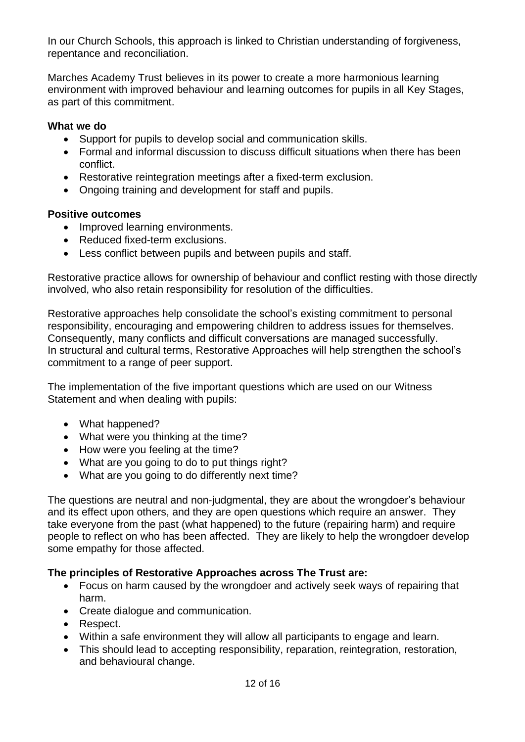In our Church Schools, this approach is linked to Christian understanding of forgiveness, repentance and reconciliation.

Marches Academy Trust believes in its power to create a more harmonious learning environment with improved behaviour and learning outcomes for pupils in all Key Stages, as part of this commitment.

#### **What we do**

- Support for pupils to develop social and communication skills.
- Formal and informal discussion to discuss difficult situations when there has been conflict.
- Restorative reintegration meetings after a fixed-term exclusion.
- Ongoing training and development for staff and pupils.

#### **Positive outcomes**

- Improved learning environments.
- Reduced fixed-term exclusions.
- Less conflict between pupils and between pupils and staff.

Restorative practice allows for ownership of behaviour and conflict resting with those directly involved, who also retain responsibility for resolution of the difficulties.

Restorative approaches help consolidate the school's existing commitment to personal responsibility, encouraging and empowering children to address issues for themselves. Consequently, many conflicts and difficult conversations are managed successfully. In structural and cultural terms, Restorative Approaches will help strengthen the school's commitment to a range of peer support.

The implementation of the five important questions which are used on our Witness Statement and when dealing with pupils:

- What happened?
- What were you thinking at the time?
- How were you feeling at the time?
- What are you going to do to put things right?
- What are you going to do differently next time?

The questions are neutral and non-judgmental, they are about the wrongdoer's behaviour and its effect upon others, and they are open questions which require an answer. They take everyone from the past (what happened) to the future (repairing harm) and require people to reflect on who has been affected. They are likely to help the wrongdoer develop some empathy for those affected.

#### **The principles of Restorative Approaches across The Trust are:**

- Focus on harm caused by the wrongdoer and actively seek ways of repairing that harm.
- Create dialogue and communication.
- Respect.
- Within a safe environment they will allow all participants to engage and learn.
- This should lead to accepting responsibility, reparation, reintegration, restoration, and behavioural change.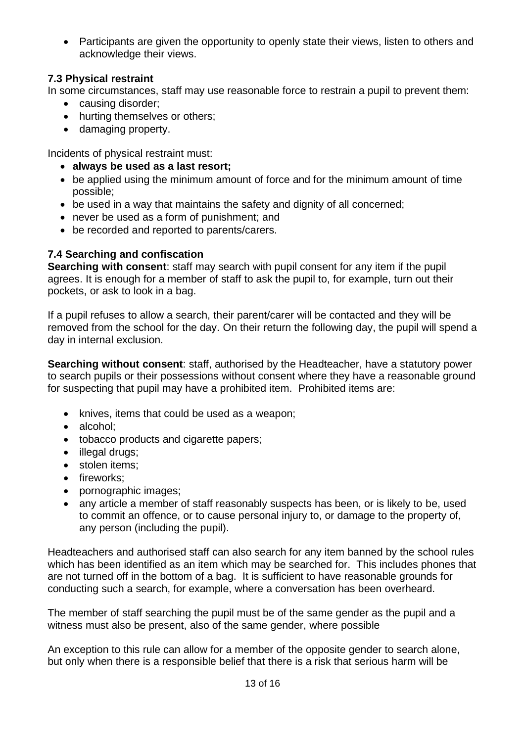• Participants are given the opportunity to openly state their views, listen to others and acknowledge their views.

## **7.3 Physical restraint**

In some circumstances, staff may use reasonable force to restrain a pupil to prevent them:

- causing disorder;
- hurting themselves or others;
- damaging property.

Incidents of physical restraint must:

- **always be used as a last resort;**
- be applied using the minimum amount of force and for the minimum amount of time possible;
- be used in a way that maintains the safety and dignity of all concerned;
- never be used as a form of punishment; and
- be recorded and reported to parents/carers.

## **7.4 Searching and confiscation**

**Searching with consent**: staff may search with pupil consent for any item if the pupil agrees. It is enough for a member of staff to ask the pupil to, for example, turn out their pockets, or ask to look in a bag.

If a pupil refuses to allow a search, their parent/carer will be contacted and they will be removed from the school for the day. On their return the following day, the pupil will spend a day in internal exclusion.

**Searching without consent**: staff, authorised by the Headteacher, have a statutory power to search pupils or their possessions without consent where they have a reasonable ground for suspecting that pupil may have a prohibited item. Prohibited items are:

- knives, items that could be used as a weapon;
- alcohol;
- tobacco products and cigarette papers;
- illegal drugs;
- stolen items;
- fireworks;
- pornographic images;
- any article a member of staff reasonably suspects has been, or is likely to be, used to commit an offence, or to cause personal injury to, or damage to the property of, any person (including the pupil).

Headteachers and authorised staff can also search for any item banned by the school rules which has been identified as an item which may be searched for. This includes phones that are not turned off in the bottom of a bag. It is sufficient to have reasonable grounds for conducting such a search, for example, where a conversation has been overheard.

The member of staff searching the pupil must be of the same gender as the pupil and a witness must also be present, also of the same gender, where possible

An exception to this rule can allow for a member of the opposite gender to search alone, but only when there is a responsible belief that there is a risk that serious harm will be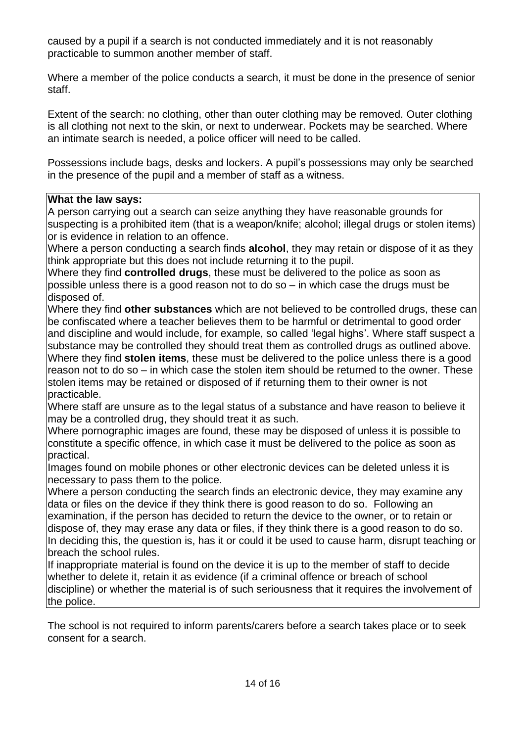caused by a pupil if a search is not conducted immediately and it is not reasonably practicable to summon another member of staff.

Where a member of the police conducts a search, it must be done in the presence of senior staff.

Extent of the search: no clothing, other than outer clothing may be removed. Outer clothing is all clothing not next to the skin, or next to underwear. Pockets may be searched. Where an intimate search is needed, a police officer will need to be called.

Possessions include bags, desks and lockers. A pupil's possessions may only be searched in the presence of the pupil and a member of staff as a witness.

#### **What the law says:**

A person carrying out a search can seize anything they have reasonable grounds for suspecting is a prohibited item (that is a weapon/knife; alcohol; illegal drugs or stolen items) or is evidence in relation to an offence.

Where a person conducting a search finds **alcohol**, they may retain or dispose of it as they think appropriate but this does not include returning it to the pupil.

Where they find **controlled drugs**, these must be delivered to the police as soon as possible unless there is a good reason not to do so – in which case the drugs must be disposed of.

Where they find **other substances** which are not believed to be controlled drugs, these can be confiscated where a teacher believes them to be harmful or detrimental to good order and discipline and would include, for example, so called 'legal highs'. Where staff suspect a substance may be controlled they should treat them as controlled drugs as outlined above. Where they find **stolen items**, these must be delivered to the police unless there is a good reason not to do so – in which case the stolen item should be returned to the owner. These stolen items may be retained or disposed of if returning them to their owner is not practicable.

Where staff are unsure as to the legal status of a substance and have reason to believe it may be a controlled drug, they should treat it as such.

Where pornographic images are found, these may be disposed of unless it is possible to constitute a specific offence, in which case it must be delivered to the police as soon as practical.

Images found on mobile phones or other electronic devices can be deleted unless it is necessary to pass them to the police.

Where a person conducting the search finds an electronic device, they may examine any data or files on the device if they think there is good reason to do so. Following an examination, if the person has decided to return the device to the owner, or to retain or dispose of, they may erase any data or files, if they think there is a good reason to do so. In deciding this, the question is, has it or could it be used to cause harm, disrupt teaching or breach the school rules.

If inappropriate material is found on the device it is up to the member of staff to decide whether to delete it, retain it as evidence (if a criminal offence or breach of school discipline) or whether the material is of such seriousness that it requires the involvement of the police.

The school is not required to inform parents/carers before a search takes place or to seek consent for a search.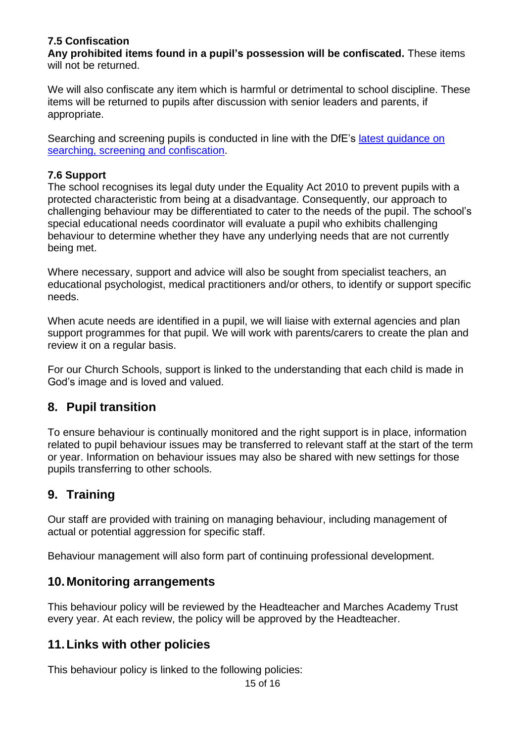## **7.5 Confiscation**

**Any prohibited items found in a pupil's possession will be confiscated.** These items will not be returned.

We will also confiscate any item which is harmful or detrimental to school discipline. These items will be returned to pupils after discussion with senior leaders and parents, if appropriate.

Searching and screening pupils is conducted in line with the DfE's latest [guidance](https://www.gov.uk/government/publications/searching-screening-and-confiscation) on searching, screening and [confiscation.](https://www.gov.uk/government/publications/searching-screening-and-confiscation)

#### **7.6 Support**

The school recognises its legal duty under the Equality Act 2010 to prevent pupils with a protected characteristic from being at a disadvantage. Consequently, our approach to challenging behaviour may be differentiated to cater to the needs of the pupil. The school's special educational needs coordinator will evaluate a pupil who exhibits challenging behaviour to determine whether they have any underlying needs that are not currently being met.

Where necessary, support and advice will also be sought from specialist teachers, an educational psychologist, medical practitioners and/or others, to identify or support specific needs.

When acute needs are identified in a pupil, we will liaise with external agencies and plan support programmes for that pupil. We will work with parents/carers to create the plan and review it on a regular basis.

For our Church Schools, support is linked to the understanding that each child is made in God's image and is loved and valued.

# **8. Pupil transition**

To ensure behaviour is continually monitored and the right support is in place, information related to pupil behaviour issues may be transferred to relevant staff at the start of the term or year. Information on behaviour issues may also be shared with new settings for those pupils transferring to other schools.

# **9. Training**

Our staff are provided with training on managing behaviour, including management of actual or potential aggression for specific staff.

Behaviour management will also form part of continuing professional development.

## **10.Monitoring arrangements**

This behaviour policy will be reviewed by the Headteacher and Marches Academy Trust every year. At each review, the policy will be approved by the Headteacher.

# **11.Links with other policies**

This behaviour policy is linked to the following policies:

15 of 16